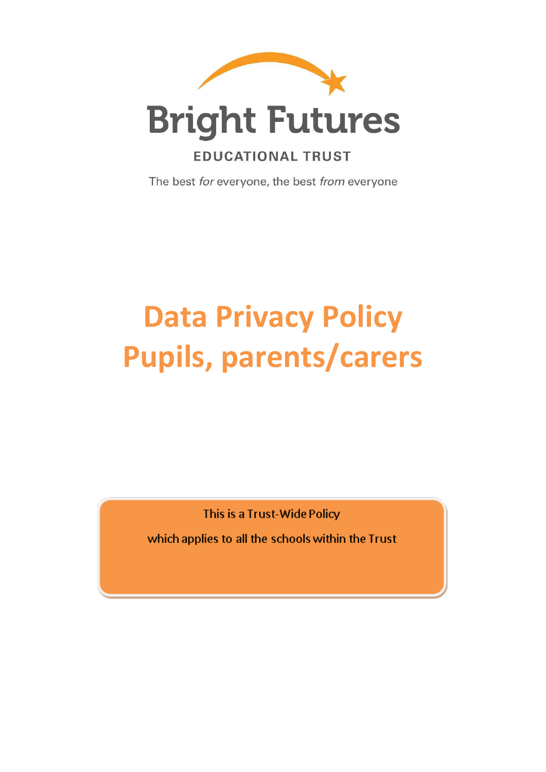

## **EDUCATIONAL TRUST**

The best for everyone, the best from everyone

# **Data Privacy Policy Pupils, parents/carers**

This is a Trust-Wide Policy

which applies to all the schools within the Trust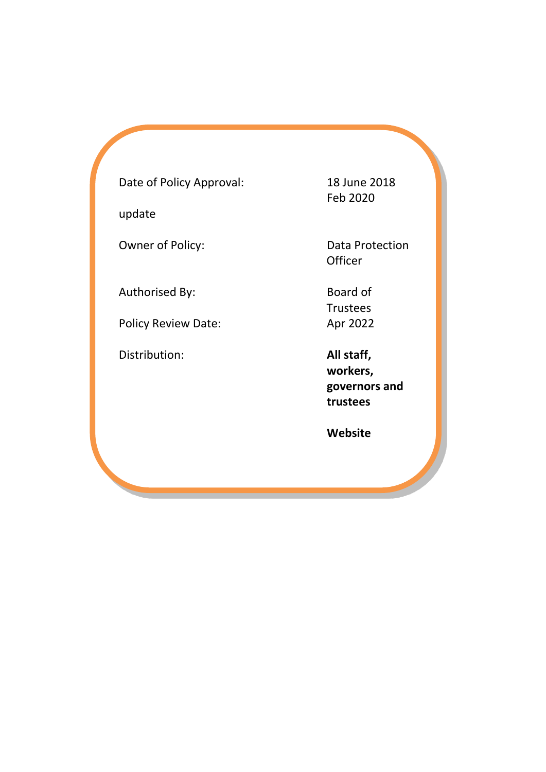Date of Policy Approval: 18 June 2018

update

Authorised By: Board of

Policy Review Date: Apr 2022

Distribution: **All staff,** 

Feb 2020

Owner of Policy: Data Protection **Officer** 

Trustees

**workers, governors and trustees** 

 **Website**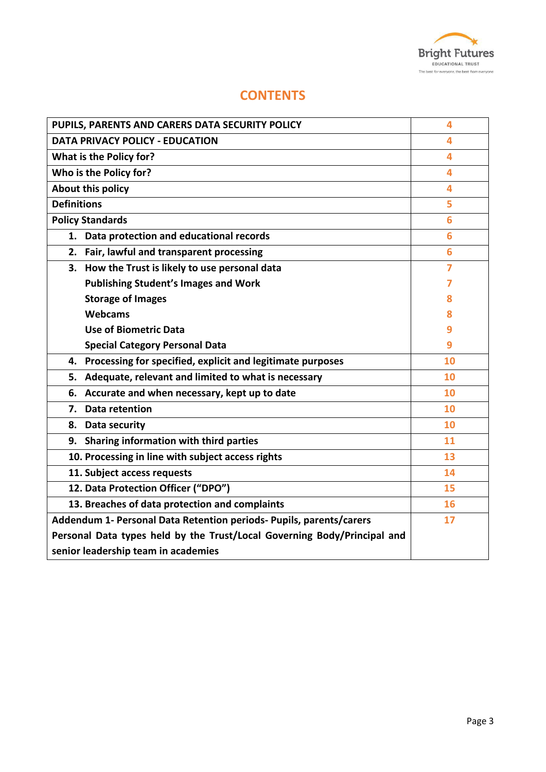

## **CONTENTS**

| PUPILS, PARENTS AND CARERS DATA SECURITY POLICY                          | 4  |
|--------------------------------------------------------------------------|----|
| <b>DATA PRIVACY POLICY - EDUCATION</b>                                   | 4  |
| What is the Policy for?                                                  | 4  |
| Who is the Policy for?                                                   | 4  |
| <b>About this policy</b>                                                 | 4  |
| <b>Definitions</b>                                                       | 5  |
| <b>Policy Standards</b>                                                  | 6  |
| 1. Data protection and educational records                               | 6  |
| 2. Fair, lawful and transparent processing                               | 6  |
| 3. How the Trust is likely to use personal data                          | 7  |
| <b>Publishing Student's Images and Work</b>                              | 7  |
| <b>Storage of Images</b>                                                 | ጸ  |
| Webcams                                                                  | 8  |
| <b>Use of Biometric Data</b>                                             | 9  |
| <b>Special Category Personal Data</b>                                    | 9  |
| 4. Processing for specified, explicit and legitimate purposes            | 10 |
| Adequate, relevant and limited to what is necessary<br>5.                | 10 |
| Accurate and when necessary, kept up to date<br>6.                       | 10 |
| <b>Data retention</b><br>7.                                              | 10 |
| 8. Data security                                                         | 10 |
| 9. Sharing information with third parties                                | 11 |
| 10. Processing in line with subject access rights                        | 13 |
| 11. Subject access requests                                              | 14 |
| 12. Data Protection Officer ("DPO")                                      | 15 |
| 13. Breaches of data protection and complaints                           | 16 |
| Addendum 1- Personal Data Retention periods- Pupils, parents/carers      | 17 |
| Personal Data types held by the Trust/Local Governing Body/Principal and |    |
| senior leadership team in academies                                      |    |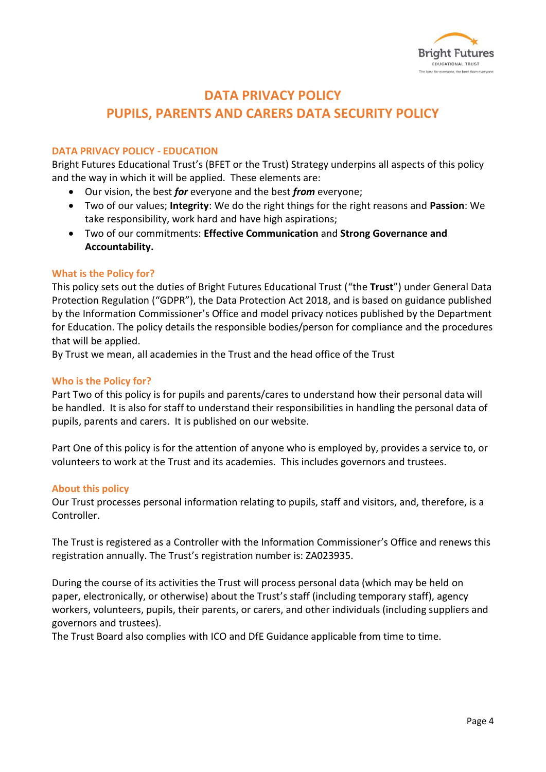

## **DATA PRIVACY POLICY PUPILS, PARENTS AND CARERS DATA SECURITY POLICY**

#### **DATA PRIVACY POLICY - EDUCATION**

Bright Futures Educational Trust's (BFET or the Trust) Strategy underpins all aspects of this policy and the way in which it will be applied. These elements are:

- Our vision, the best *for* everyone and the best *from* everyone;
- Two of our values; **Integrity**: We do the right things for the right reasons and **Passion**: We take responsibility, work hard and have high aspirations;
- Two of our commitments: **Effective Communication** and **Strong Governance and Accountability.**

#### **What is the Policy for?**

This policy sets out the duties of Bright Futures Educational Trust ("the **Trust**") under General Data Protection Regulation ("GDPR"), the Data Protection Act 2018, and is based on guidance published by the Information Commissioner's Office and model privacy notices published by the Department for Education. The policy details the responsible bodies/person for compliance and the procedures that will be applied.

By Trust we mean, all academies in the Trust and the head office of the Trust

#### **Who is the Policy for?**

Part Two of this policy is for pupils and parents/cares to understand how their personal data will be handled. It is also for staff to understand their responsibilities in handling the personal data of pupils, parents and carers. It is published on our website.

Part One of this policy is for the attention of anyone who is employed by, provides a service to, or volunteers to work at the Trust and its academies. This includes governors and trustees.

#### **About this policy**

Our Trust processes personal information relating to pupils, staff and visitors, and, therefore, is a Controller.

The Trust is registered as a Controller with the Information Commissioner's Office and renews this registration annually. The Trust's registration number is: ZA023935.

During the course of its activities the Trust will process personal data (which may be held on paper, electronically, or otherwise) about the Trust's staff (including temporary staff), agency workers, volunteers, pupils, their parents, or carers, and other individuals (including suppliers and governors and trustees).

The Trust Board also complies with ICO and DfE Guidance applicable from time to time.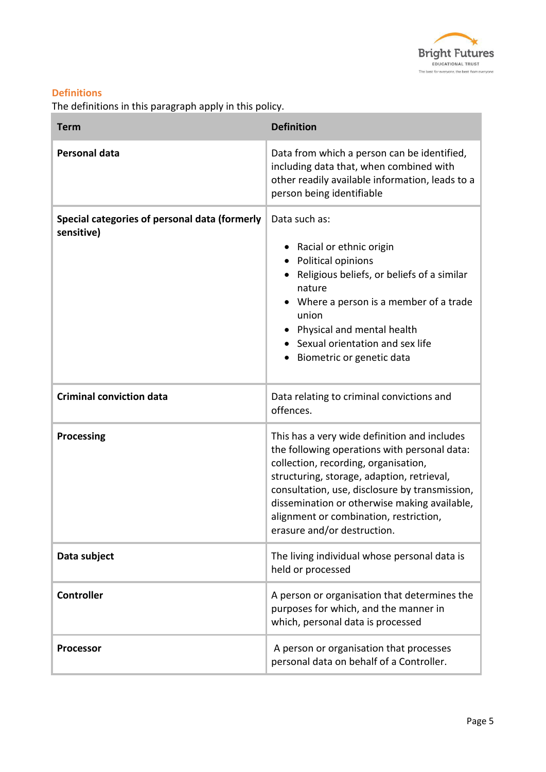

### **Definitions**

The definitions in this paragraph apply in this policy.

| <b>Term</b>                                                 | <b>Definition</b>                                                                                                                                                                                                                                                                                                                                             |
|-------------------------------------------------------------|---------------------------------------------------------------------------------------------------------------------------------------------------------------------------------------------------------------------------------------------------------------------------------------------------------------------------------------------------------------|
| <b>Personal data</b>                                        | Data from which a person can be identified,<br>including data that, when combined with<br>other readily available information, leads to a<br>person being identifiable                                                                                                                                                                                        |
| Special categories of personal data (formerly<br>sensitive) | Data such as:<br>Racial or ethnic origin<br>$\bullet$<br>Political opinions<br>$\bullet$<br>Religious beliefs, or beliefs of a similar<br>nature<br>Where a person is a member of a trade<br>union<br>Physical and mental health<br>Sexual orientation and sex life<br>Biometric or genetic data                                                              |
| <b>Criminal conviction data</b>                             | Data relating to criminal convictions and<br>offences.                                                                                                                                                                                                                                                                                                        |
| <b>Processing</b>                                           | This has a very wide definition and includes<br>the following operations with personal data:<br>collection, recording, organisation,<br>structuring, storage, adaption, retrieval,<br>consultation, use, disclosure by transmission,<br>dissemination or otherwise making available,<br>alignment or combination, restriction,<br>erasure and/or destruction. |
| Data subject                                                | The living individual whose personal data is<br>held or processed                                                                                                                                                                                                                                                                                             |
| <b>Controller</b>                                           | A person or organisation that determines the<br>purposes for which, and the manner in<br>which, personal data is processed                                                                                                                                                                                                                                    |
| <b>Processor</b>                                            | A person or organisation that processes<br>personal data on behalf of a Controller.                                                                                                                                                                                                                                                                           |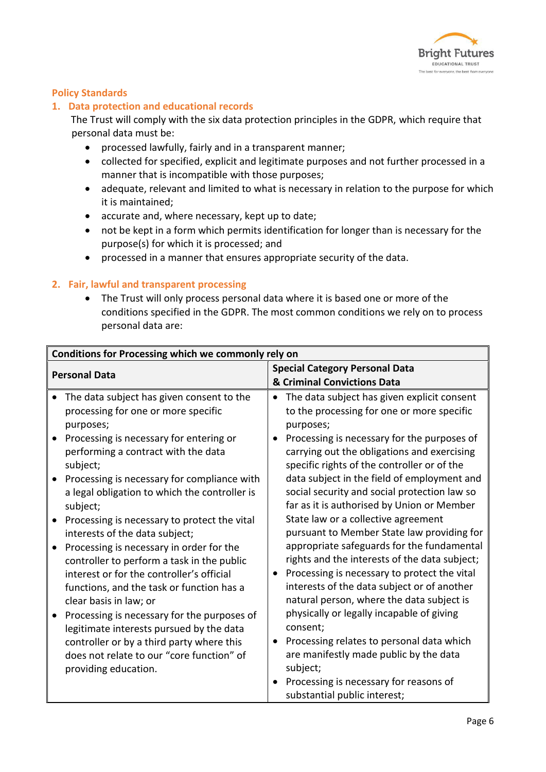

#### **Policy Standards**

#### **1. Data protection and educational records**

The Trust will comply with the six data protection principles in the GDPR, which require that personal data must be:

- processed lawfully, fairly and in a transparent manner;
- collected for specified, explicit and legitimate purposes and not further processed in a manner that is incompatible with those purposes;
- adequate, relevant and limited to what is necessary in relation to the purpose for which it is maintained;
- accurate and, where necessary, kept up to date;
- not be kept in a form which permits identification for longer than is necessary for the purpose(s) for which it is processed; and
- processed in a manner that ensures appropriate security of the data.

#### **2. Fair, lawful and transparent processing**

 The Trust will only process personal data where it is based one or more of the conditions specified in the GDPR. The most common conditions we rely on to process personal data are:

| Conditions for Processing which we commonly rely on |                                               |                                       |                                               |
|-----------------------------------------------------|-----------------------------------------------|---------------------------------------|-----------------------------------------------|
| <b>Personal Data</b>                                |                                               | <b>Special Category Personal Data</b> |                                               |
|                                                     |                                               |                                       | & Criminal Convictions Data                   |
|                                                     | The data subject has given consent to the     | $\bullet$                             | The data subject has given explicit consent   |
|                                                     | processing for one or more specific           |                                       | to the processing for one or more specific    |
|                                                     | purposes;                                     |                                       | purposes;                                     |
|                                                     | Processing is necessary for entering or       | $\bullet$                             | Processing is necessary for the purposes of   |
|                                                     | performing a contract with the data           |                                       | carrying out the obligations and exercising   |
|                                                     | subject;                                      |                                       | specific rights of the controller or of the   |
|                                                     | Processing is necessary for compliance with   |                                       | data subject in the field of employment and   |
|                                                     | a legal obligation to which the controller is |                                       | social security and social protection law so  |
|                                                     | subject;                                      |                                       | far as it is authorised by Union or Member    |
|                                                     | Processing is necessary to protect the vital  |                                       | State law or a collective agreement           |
|                                                     | interests of the data subject;                |                                       | pursuant to Member State law providing for    |
|                                                     | Processing is necessary in order for the      |                                       | appropriate safeguards for the fundamental    |
|                                                     | controller to perform a task in the public    |                                       | rights and the interests of the data subject; |
|                                                     | interest or for the controller's official     | $\bullet$                             | Processing is necessary to protect the vital  |
|                                                     | functions, and the task or function has a     |                                       | interests of the data subject or of another   |
|                                                     | clear basis in law; or                        |                                       | natural person, where the data subject is     |
|                                                     | Processing is necessary for the purposes of   |                                       | physically or legally incapable of giving     |
|                                                     | legitimate interests pursued by the data      |                                       | consent;                                      |
|                                                     | controller or by a third party where this     | $\bullet$                             | Processing relates to personal data which     |
|                                                     | does not relate to our "core function" of     |                                       | are manifestly made public by the data        |
|                                                     | providing education.                          |                                       | subject;                                      |
|                                                     |                                               |                                       | Processing is necessary for reasons of        |
|                                                     |                                               |                                       | substantial public interest;                  |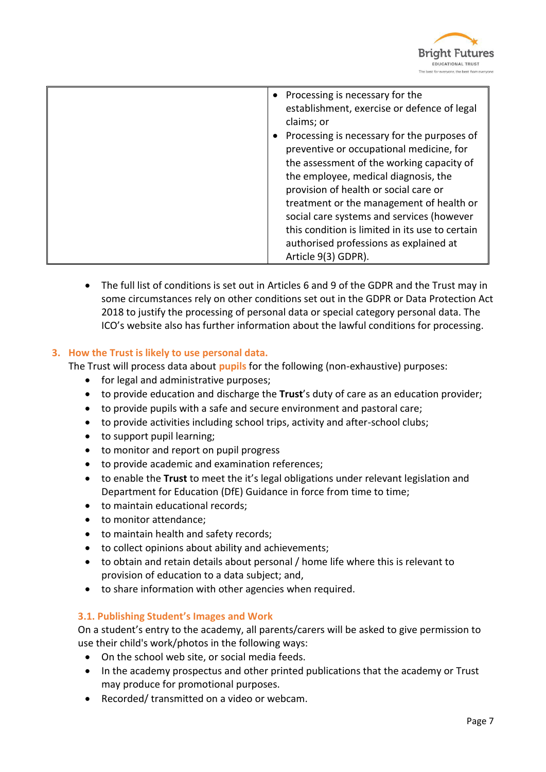

| • Processing is necessary for the               |
|-------------------------------------------------|
| establishment, exercise or defence of legal     |
| claims; or                                      |
| Processing is necessary for the purposes of     |
| preventive or occupational medicine, for        |
| the assessment of the working capacity of       |
| the employee, medical diagnosis, the            |
| provision of health or social care or           |
| treatment or the management of health or        |
| social care systems and services (however       |
| this condition is limited in its use to certain |
| authorised professions as explained at          |
| Article 9(3) GDPR).                             |

 The full list of conditions is set out in Articles 6 and 9 of the GDPR and the Trust may in some circumstances rely on other conditions set out in the GDPR or Data Protection Act 2018 to justify the processing of personal data or special category personal data. The ICO's website also has further information about the lawful conditions for processing.

#### **3. How the Trust is likely to use personal data.**

The Trust will process data about **pupils** for the following (non-exhaustive) purposes:

- for legal and administrative purposes;
- to provide education and discharge the **Trust**'s duty of care as an education provider;
- to provide pupils with a safe and secure environment and pastoral care;
- to provide activities including school trips, activity and after-school clubs;
- to support pupil learning;
- to monitor and report on pupil progress
- to provide academic and examination references;
- to enable the **Trust** to meet the it's legal obligations under relevant legislation and Department for Education (DfE) Guidance in force from time to time;
- to maintain educational records;
- to monitor attendance:
- to maintain health and safety records;
- to collect opinions about ability and achievements;
- to obtain and retain details about personal / home life where this is relevant to provision of education to a data subject; and,
- to share information with other agencies when required.

#### **3.1. Publishing Student's Images and Work**

On a student's entry to the academy, all parents/carers will be asked to give permission to use their child's work/photos in the following ways:

- On the school web site, or social media feeds.
- In the academy prospectus and other printed publications that the academy or Trust may produce for promotional purposes.
- Recorded/ transmitted on a video or webcam.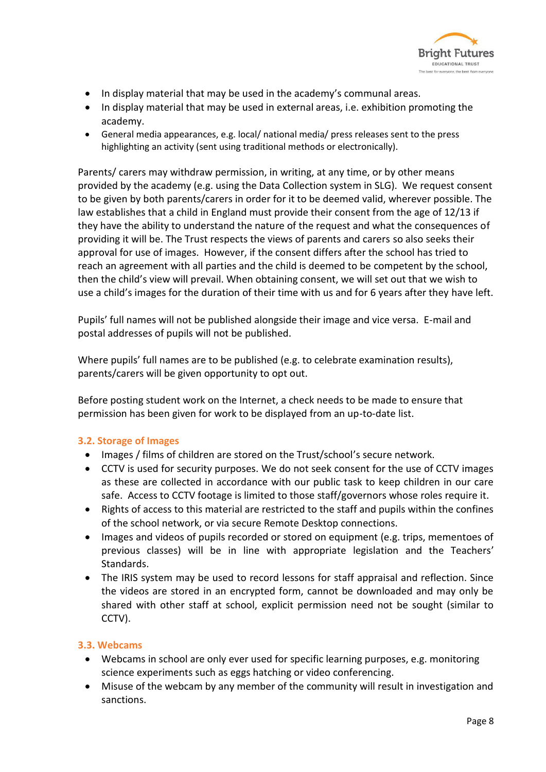

- In display material that may be used in the academy's communal areas.
- In display material that may be used in external areas, i.e. exhibition promoting the academy.
- General media appearances, e.g. local/ national media/ press releases sent to the press highlighting an activity (sent using traditional methods or electronically).

Parents/ carers may withdraw permission, in writing, at any time, or by other means provided by the academy (e.g. using the Data Collection system in SLG). We request consent to be given by both parents/carers in order for it to be deemed valid, wherever possible. The law establishes that a child in England must provide their consent from the age of 12/13 if they have the ability to understand the nature of the request and what the consequences of providing it will be. The Trust respects the views of parents and carers so also seeks their approval for use of images. However, if the consent differs after the school has tried to reach an agreement with all parties and the child is deemed to be competent by the school, then the child's view will prevail. When obtaining consent, we will set out that we wish to use a child's images for the duration of their time with us and for 6 years after they have left.

Pupils' full names will not be published alongside their image and vice versa. E-mail and postal addresses of pupils will not be published.

Where pupils' full names are to be published (e.g. to celebrate examination results), parents/carers will be given opportunity to opt out.

Before posting student work on the Internet, a check needs to be made to ensure that permission has been given for work to be displayed from an up-to-date list.

#### **3.2. Storage of Images**

- Images / films of children are stored on the Trust/school's secure network.
- CCTV is used for security purposes. We do not seek consent for the use of CCTV images as these are collected in accordance with our public task to keep children in our care safe. Access to CCTV footage is limited to those staff/governors whose roles require it.
- Rights of access to this material are restricted to the staff and pupils within the confines of the school network, or via secure Remote Desktop connections.
- Images and videos of pupils recorded or stored on equipment (e.g. trips, mementoes of previous classes) will be in line with appropriate legislation and the Teachers' Standards.
- The IRIS system may be used to record lessons for staff appraisal and reflection. Since the videos are stored in an encrypted form, cannot be downloaded and may only be shared with other staff at school, explicit permission need not be sought (similar to CCTV).

#### **3.3. Webcams**

- Webcams in school are only ever used for specific learning purposes, e.g. monitoring science experiments such as eggs hatching or video conferencing.
- Misuse of the webcam by any member of the community will result in investigation and sanctions.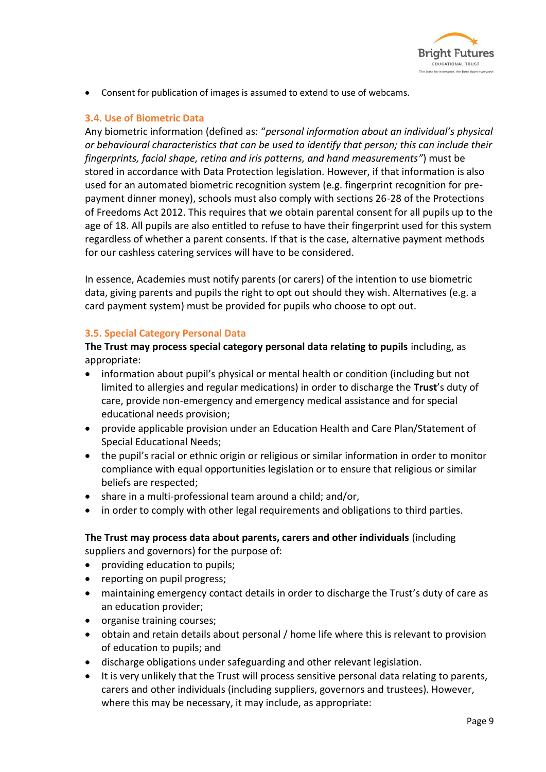

Consent for publication of images is assumed to extend to use of webcams.

#### **3.4. Use of Biometric Data**

Any biometric information (defined as: "*personal information about an individual's physical or behavioural characteristics that can be used to identify that person; this can include their fingerprints, facial shape, retina and iris patterns, and hand measurements"*) must be stored in accordance with Data Protection legislation. However, if that information is also used for an automated biometric recognition system (e.g. fingerprint recognition for prepayment dinner money), schools must also comply with sections 26-28 of the Protections of Freedoms Act 2012. This requires that we obtain parental consent for all pupils up to the age of 18. All pupils are also entitled to refuse to have their fingerprint used for this system regardless of whether a parent consents. If that is the case, alternative payment methods for our cashless catering services will have to be considered.

In essence, Academies must notify parents (or carers) of the intention to use biometric data, giving parents and pupils the right to opt out should they wish. Alternatives (e.g. a card payment system) must be provided for pupils who choose to opt out.

#### **3.5. Special Category Personal Data**

**The Trust may process special category personal data relating to pupils** including, as appropriate:

- information about pupil's physical or mental health or condition (including but not limited to allergies and regular medications) in order to discharge the **Trust**'s duty of care, provide non-emergency and emergency medical assistance and for special educational needs provision;
- provide applicable provision under an Education Health and Care Plan/Statement of Special Educational Needs;
- the pupil's racial or ethnic origin or religious or similar information in order to monitor compliance with equal opportunities legislation or to ensure that religious or similar beliefs are respected;
- share in a multi-professional team around a child; and/or,
- in order to comply with other legal requirements and obligations to third parties.

**The Trust may process data about parents, carers and other individuals** (including suppliers and governors) for the purpose of:

- providing education to pupils;
- reporting on pupil progress;
- maintaining emergency contact details in order to discharge the Trust's duty of care as an education provider;
- organise training courses;
- obtain and retain details about personal / home life where this is relevant to provision of education to pupils; and
- discharge obligations under safeguarding and other relevant legislation.
- It is very unlikely that the Trust will process sensitive personal data relating to parents, carers and other individuals (including suppliers, governors and trustees). However, where this may be necessary, it may include, as appropriate: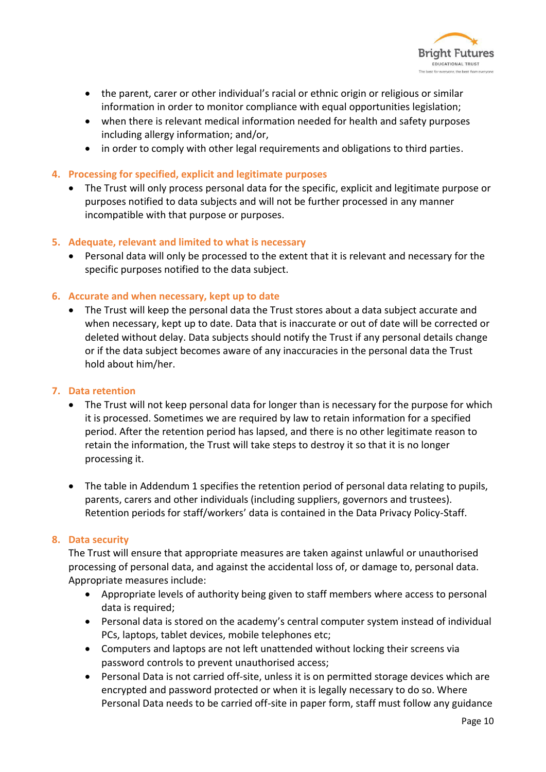

- the parent, carer or other individual's racial or ethnic origin or religious or similar information in order to monitor compliance with equal opportunities legislation;
- when there is relevant medical information needed for health and safety purposes including allergy information; and/or,
- in order to comply with other legal requirements and obligations to third parties.
- **4. Processing for specified, explicit and legitimate purposes** 
	- The Trust will only process personal data for the specific, explicit and legitimate purpose or purposes notified to data subjects and will not be further processed in any manner incompatible with that purpose or purposes.
- **5. Adequate, relevant and limited to what is necessary** 
	- Personal data will only be processed to the extent that it is relevant and necessary for the specific purposes notified to the data subject.

#### **6. Accurate and when necessary, kept up to date**

 The Trust will keep the personal data the Trust stores about a data subject accurate and when necessary, kept up to date. Data that is inaccurate or out of date will be corrected or deleted without delay. Data subjects should notify the Trust if any personal details change or if the data subject becomes aware of any inaccuracies in the personal data the Trust hold about him/her.

#### **7. Data retention**

- The Trust will not keep personal data for longer than is necessary for the purpose for which it is processed. Sometimes we are required by law to retain information for a specified period. After the retention period has lapsed, and there is no other legitimate reason to retain the information, the Trust will take steps to destroy it so that it is no longer processing it.
- The table in Addendum 1 specifies the retention period of personal data relating to pupils, parents, carers and other individuals (including suppliers, governors and trustees). Retention periods for staff/workers' data is contained in the Data Privacy Policy-Staff.

#### **8. Data security**

The Trust will ensure that appropriate measures are taken against unlawful or unauthorised processing of personal data, and against the accidental loss of, or damage to, personal data. Appropriate measures include:

- Appropriate levels of authority being given to staff members where access to personal data is required;
- Personal data is stored on the academy's central computer system instead of individual PCs, laptops, tablet devices, mobile telephones etc;
- Computers and laptops are not left unattended without locking their screens via password controls to prevent unauthorised access;
- Personal Data is not carried off-site, unless it is on permitted storage devices which are encrypted and password protected or when it is legally necessary to do so. Where Personal Data needs to be carried off-site in paper form, staff must follow any guidance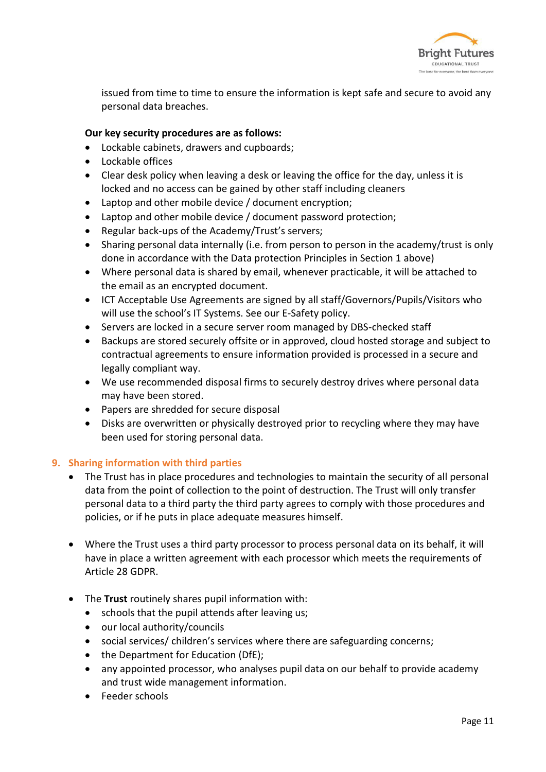

issued from time to time to ensure the information is kept safe and secure to avoid any personal data breaches.

#### **Our key security procedures are as follows:**

- Lockable cabinets, drawers and cupboards;
- Lockable offices
- Clear desk policy when leaving a desk or leaving the office for the day, unless it is locked and no access can be gained by other staff including cleaners
- Laptop and other mobile device / document encryption;
- Laptop and other mobile device / document password protection;
- Regular back-ups of the Academy/Trust's servers;
- Sharing personal data internally (i.e. from person to person in the academy/trust is only done in accordance with the Data protection Principles in Section 1 above)
- Where personal data is shared by email, whenever practicable, it will be attached to the email as an encrypted document.
- ICT Acceptable Use Agreements are signed by all staff/Governors/Pupils/Visitors who will use the school's IT Systems. See our E-Safety policy.
- Servers are locked in a secure server room managed by DBS-checked staff
- Backups are stored securely offsite or in approved, cloud hosted storage and subject to contractual agreements to ensure information provided is processed in a secure and legally compliant way.
- We use recommended disposal firms to securely destroy drives where personal data may have been stored.
- Papers are shredded for secure disposal
- Disks are overwritten or physically destroyed prior to recycling where they may have been used for storing personal data.

#### **9. Sharing information with third parties**

- The Trust has in place procedures and technologies to maintain the security of all personal data from the point of collection to the point of destruction. The Trust will only transfer personal data to a third party the third party agrees to comply with those procedures and policies, or if he puts in place adequate measures himself.
- Where the Trust uses a third party processor to process personal data on its behalf, it will have in place a written agreement with each processor which meets the requirements of Article 28 GDPR.
- The **Trust** routinely shares pupil information with:
	- schools that the pupil attends after leaving us;
	- our local authority/councils
	- social services/ children's services where there are safeguarding concerns;
	- the Department for Education (DfE);
	- any appointed processor, who analyses pupil data on our behalf to provide academy and trust wide management information.
	- Feeder schools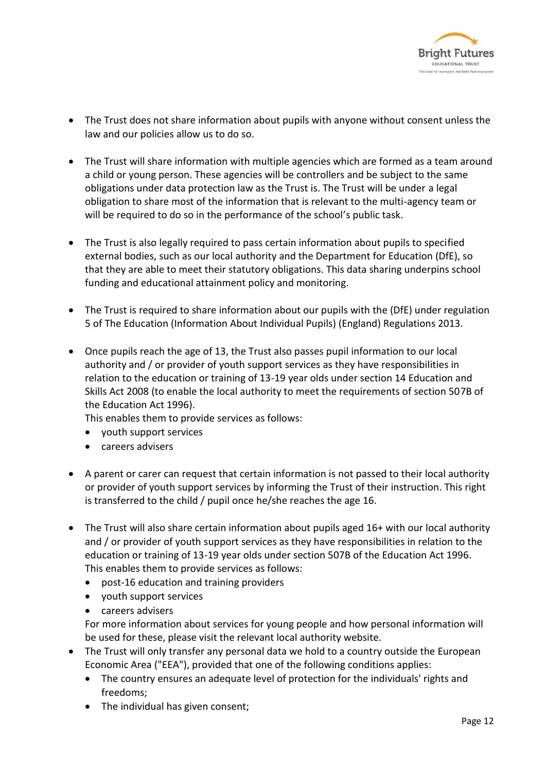

- The Trust does not share information about pupils with anyone without consent unless the law and our policies allow us to do so.
- The Trust will share information with multiple agencies which are formed as a team around a child or young person. These agencies will be controllers and be subject to the same obligations under data protection law as the Trust is. The Trust will be under a legal obligation to share most of the information that is relevant to the multi-agency team or will be required to do so in the performance of the school's public task.
- The Trust is also legally required to pass certain information about pupils to specified external bodies, such as our local authority and the Department for Education (DfE), so that they are able to meet their statutory obligations. This data sharing underpins school funding and educational attainment policy and monitoring.
- The Trust is required to share information about our pupils with the (DfE) under regulation 5 of The Education (Information About Individual Pupils) (England) Regulations 2013.
- Once pupils reach the age of 13, the Trust also passes pupil information to our local authority and / or provider of youth support services as they have responsibilities in relation to the education or training of 13-19 year olds under section 14 Education and Skills Act 2008 (to enable the local authority to meet the requirements of section 507B of the Education Act 1996).

This enables them to provide services as follows:

- youth support services
- careers advisers
- A parent or carer can request that certain information is not passed to their local authority or provider of youth support services by informing the Trust of their instruction. This right is transferred to the child / pupil once he/she reaches the age 16.
- The Trust will also share certain information about pupils aged 16+ with our local authority and / or provider of youth support services as they have responsibilities in relation to the education or training of 13-19 year olds under section 507B of the Education Act 1996. This enables them to provide services as follows:
	- post-16 education and training providers
	- youth support services
	- careers advisers

For more information about services for young people and how personal information will be used for these, please visit the relevant local authority website.

- The Trust will only transfer any personal data we hold to a country outside the European Economic Area ("EEA"), provided that one of the following conditions applies:
	- The country ensures an adequate level of protection for the individuals' rights and freedoms;
	- The individual has given consent;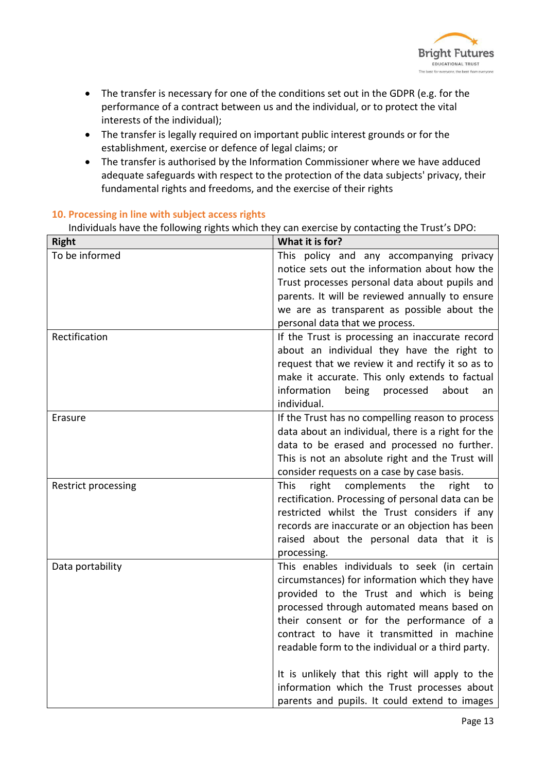

- The transfer is necessary for one of the conditions set out in the GDPR (e.g. for the performance of a contract between us and the individual, or to protect the vital interests of the individual);
- The transfer is legally required on important public interest grounds or for the establishment, exercise or defence of legal claims; or
- The transfer is authorised by the Information Commissioner where we have adduced adequate safeguards with respect to the protection of the data subjects' privacy, their fundamental rights and freedoms, and the exercise of their rights

#### **10. Processing in line with subject access rights**

Individuals have the following rights which they can exercise by contacting the Trust's DPO:

| <b>Right</b>        | What it is for?                                           |
|---------------------|-----------------------------------------------------------|
| To be informed      | This policy and any accompanying privacy                  |
|                     | notice sets out the information about how the             |
|                     | Trust processes personal data about pupils and            |
|                     | parents. It will be reviewed annually to ensure           |
|                     | we are as transparent as possible about the               |
|                     | personal data that we process.                            |
| Rectification       | If the Trust is processing an inaccurate record           |
|                     | about an individual they have the right to                |
|                     | request that we review it and rectify it so as to         |
|                     | make it accurate. This only extends to factual            |
|                     | information<br>being<br>processed<br>about<br>an          |
|                     | individual.                                               |
| Erasure             | If the Trust has no compelling reason to process          |
|                     | data about an individual, there is a right for the        |
|                     | data to be erased and processed no further.               |
|                     | This is not an absolute right and the Trust will          |
|                     | consider requests on a case by case basis.                |
| Restrict processing | complements<br>right<br>the<br><b>This</b><br>right<br>to |
|                     | rectification. Processing of personal data can be         |
|                     | restricted whilst the Trust considers if any              |
|                     | records are inaccurate or an objection has been           |
|                     | raised about the personal data that it is                 |
|                     | processing.                                               |
| Data portability    | This enables individuals to seek (in certain              |
|                     | circumstances) for information which they have            |
|                     | provided to the Trust and which is being                  |
|                     | processed through automated means based on                |
|                     | their consent or for the performance of a                 |
|                     | contract to have it transmitted in machine                |
|                     | readable form to the individual or a third party.         |
|                     | It is unlikely that this right will apply to the          |
|                     | information which the Trust processes about               |
|                     | parents and pupils. It could extend to images             |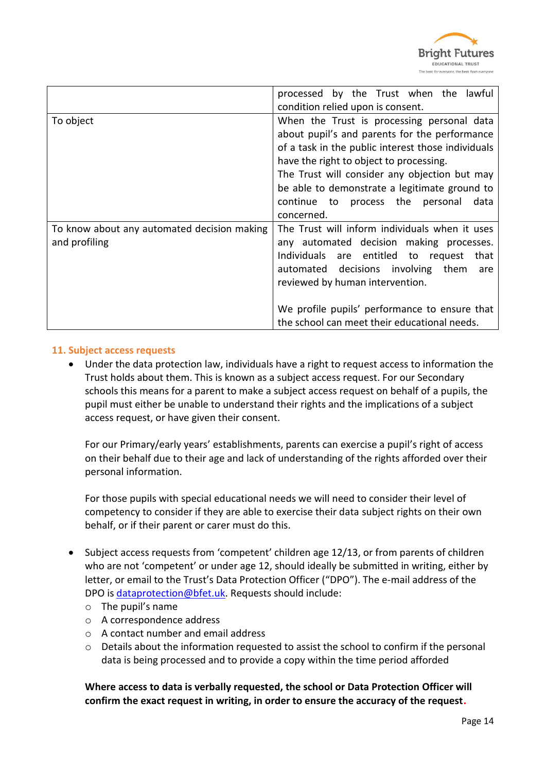

|                                                              | processed by the Trust when the lawful<br>condition relied upon is consent.                                                                                                                                                                                                                                                                              |
|--------------------------------------------------------------|----------------------------------------------------------------------------------------------------------------------------------------------------------------------------------------------------------------------------------------------------------------------------------------------------------------------------------------------------------|
| To object                                                    | When the Trust is processing personal data<br>about pupil's and parents for the performance<br>of a task in the public interest those individuals<br>have the right to object to processing.<br>The Trust will consider any objection but may<br>be able to demonstrate a legitimate ground to<br>continue to process the personal<br>data<br>concerned. |
| To know about any automated decision making<br>and profiling | The Trust will inform individuals when it uses<br>any automated decision making processes.<br>Individuals are entitled to request<br>that<br>automated decisions involving them<br>are<br>reviewed by human intervention.<br>We profile pupils' performance to ensure that<br>the school can meet their educational needs.                               |

#### **11. Subject access requests**

 Under the data protection law, individuals have a right to request access to information the Trust holds about them. This is known as a subject access request. For our Secondary schools this means for a parent to make a subject access request on behalf of a pupils, the pupil must either be unable to understand their rights and the implications of a subject access request, or have given their consent.

For our Primary/early years' establishments, parents can exercise a pupil's right of access on their behalf due to their age and lack of understanding of the rights afforded over their personal information.

For those pupils with special educational needs we will need to consider their level of competency to consider if they are able to exercise their data subject rights on their own behalf, or if their parent or carer must do this.

- Subject access requests from 'competent' children age 12/13, or from parents of children who are not 'competent' or under age 12, should ideally be submitted in writing, either by letter, or email to the Trust's Data Protection Officer ("DPO"). The e-mail address of the DPO is [dataprotection@bfet.uk.](mailto:dataprotection@bfet.uk) Requests should include:
	- $\circ$  The pupil's name
	- o A correspondence address
	- o A contact number and email address
	- o Details about the information requested to assist the school to confirm if the personal data is being processed and to provide a copy within the time period afforded

**Where access to data is verbally requested, the school or Data Protection Officer will confirm the exact request in writing, in order to ensure the accuracy of the request.**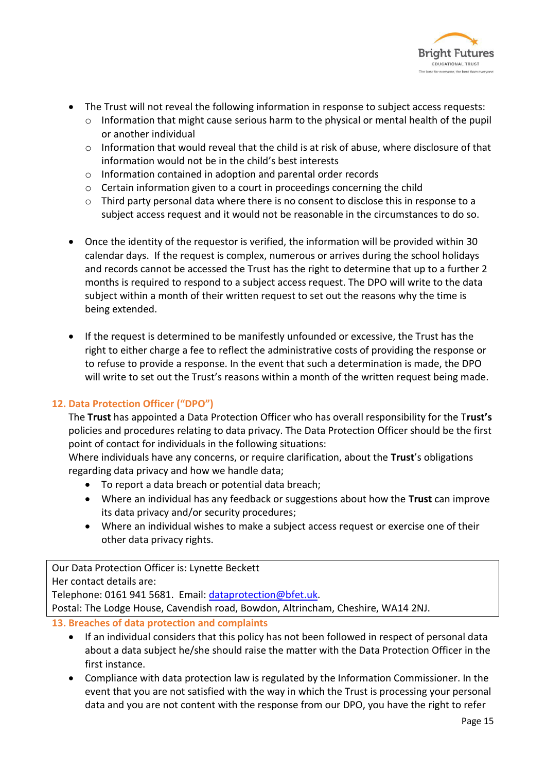

- The Trust will not reveal the following information in response to subject access requests:
	- $\circ$  Information that might cause serious harm to the physical or mental health of the pupil or another individual
	- o Information that would reveal that the child is at risk of abuse, where disclosure of that information would not be in the child's best interests
	- o Information contained in adoption and parental order records
	- o Certain information given to a court in proceedings concerning the child
	- $\circ$  Third party personal data where there is no consent to disclose this in response to a subject access request and it would not be reasonable in the circumstances to do so.
- Once the identity of the requestor is verified, the information will be provided within 30 calendar days. If the request is complex, numerous or arrives during the school holidays and records cannot be accessed the Trust has the right to determine that up to a further 2 months is required to respond to a subject access request. The DPO will write to the data subject within a month of their written request to set out the reasons why the time is being extended.
- If the request is determined to be manifestly unfounded or excessive, the Trust has the right to either charge a fee to reflect the administrative costs of providing the response or to refuse to provide a response. In the event that such a determination is made, the DPO will write to set out the Trust's reasons within a month of the written request being made.

#### **12. Data Protection Officer ("DPO")**

The **Trust** has appointed a Data Protection Officer who has overall responsibility for the T**rust's** policies and procedures relating to data privacy. The Data Protection Officer should be the first point of contact for individuals in the following situations:

Where individuals have any concerns, or require clarification, about the **Trust**'s obligations regarding data privacy and how we handle data;

- To report a data breach or potential data breach;
- Where an individual has any feedback or suggestions about how the **Trust** can improve its data privacy and/or security procedures;
- Where an individual wishes to make a subject access request or exercise one of their other data privacy rights.

Our Data Protection Officer is: Lynette Beckett

Her contact details are:

Telephone: 0161 941 5681. Email: [dataprotection@bfet.uk.](mailto:dataprotection@bfet.uk)

Postal: The Lodge House, Cavendish road, Bowdon, Altrincham, Cheshire, WA14 2NJ.

**13. Breaches of data protection and complaints** 

- If an individual considers that this policy has not been followed in respect of personal data about a data subject he/she should raise the matter with the Data Protection Officer in the first instance.
- Compliance with data protection law is regulated by the Information Commissioner. In the event that you are not satisfied with the way in which the Trust is processing your personal data and you are not content with the response from our DPO, you have the right to refer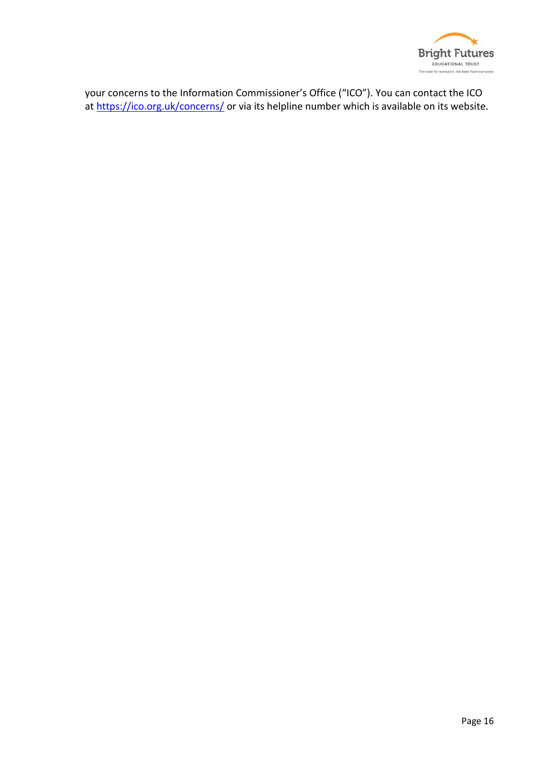

your concerns to the Information Commissioner's Office ("ICO"). You can contact the ICO at<https://ico.org.uk/concerns/>or via its helpline number which is available on its website.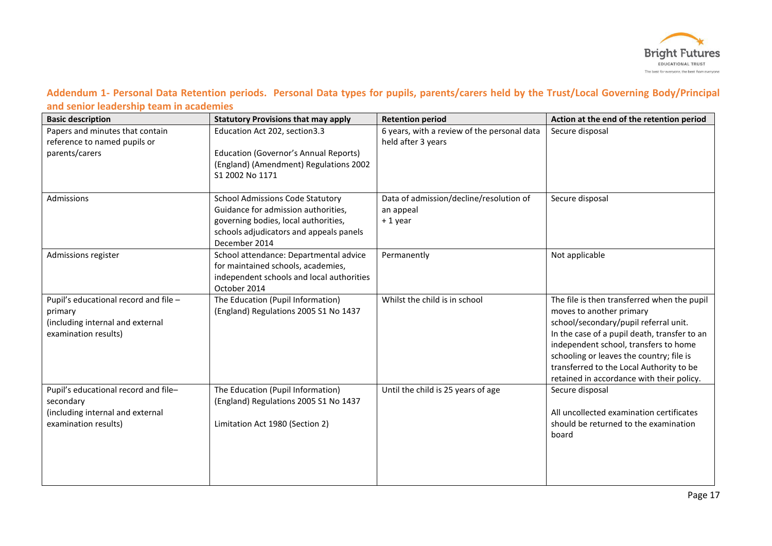

#### **Addendum 1- Personal Data Retention periods. Personal Data types for pupils, parents/carers held by the Trust/Local Governing Body/Principal and senior leadership team in academies**

| <b>Basic description</b>                                                                                      | <b>Statutory Provisions that may apply</b>                                                                                                                                         | <b>Retention period</b>                                           | Action at the end of the retention period                                                                                                                                                                                                                                                                                                      |
|---------------------------------------------------------------------------------------------------------------|------------------------------------------------------------------------------------------------------------------------------------------------------------------------------------|-------------------------------------------------------------------|------------------------------------------------------------------------------------------------------------------------------------------------------------------------------------------------------------------------------------------------------------------------------------------------------------------------------------------------|
| Papers and minutes that contain<br>reference to named pupils or<br>parents/carers                             | Education Act 202, section3.3<br><b>Education (Governor's Annual Reports)</b><br>(England) (Amendment) Regulations 2002<br>S1 2002 No 1171                                         | 6 years, with a review of the personal data<br>held after 3 years | Secure disposal                                                                                                                                                                                                                                                                                                                                |
| Admissions                                                                                                    | <b>School Admissions Code Statutory</b><br>Guidance for admission authorities,<br>governing bodies, local authorities,<br>schools adjudicators and appeals panels<br>December 2014 | Data of admission/decline/resolution of<br>an appeal<br>+1 year   | Secure disposal                                                                                                                                                                                                                                                                                                                                |
| Admissions register                                                                                           | School attendance: Departmental advice<br>for maintained schools, academies,<br>independent schools and local authorities<br>October 2014                                          | Permanently                                                       | Not applicable                                                                                                                                                                                                                                                                                                                                 |
| Pupil's educational record and file -<br>primary<br>(including internal and external<br>examination results)  | The Education (Pupil Information)<br>(England) Regulations 2005 S1 No 1437                                                                                                         | Whilst the child is in school                                     | The file is then transferred when the pupil<br>moves to another primary<br>school/secondary/pupil referral unit.<br>In the case of a pupil death, transfer to an<br>independent school, transfers to home<br>schooling or leaves the country; file is<br>transferred to the Local Authority to be<br>retained in accordance with their policy. |
| Pupil's educational record and file-<br>secondary<br>(including internal and external<br>examination results) | The Education (Pupil Information)<br>(England) Regulations 2005 S1 No 1437<br>Limitation Act 1980 (Section 2)                                                                      | Until the child is 25 years of age                                | Secure disposal<br>All uncollected examination certificates<br>should be returned to the examination<br>board                                                                                                                                                                                                                                  |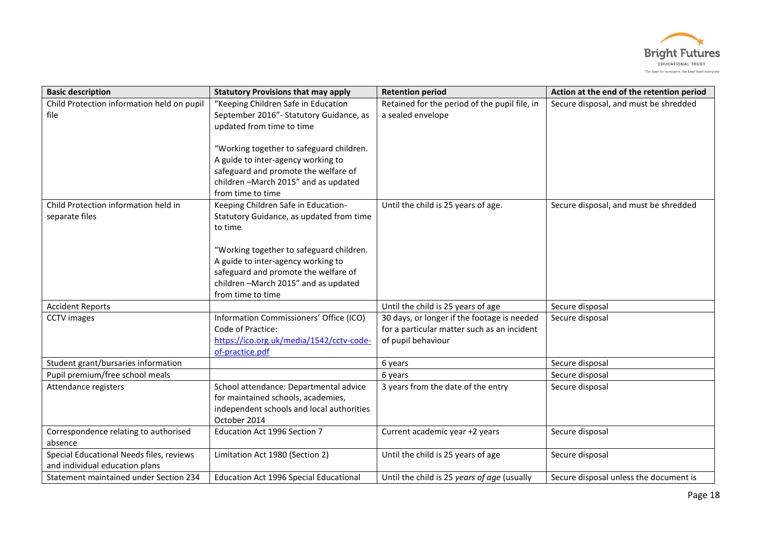

| <b>Basic description</b>                                                   | <b>Statutory Provisions that may apply</b>                                                                                                                                         | <b>Retention period</b>                                                                                          | Action at the end of the retention period |
|----------------------------------------------------------------------------|------------------------------------------------------------------------------------------------------------------------------------------------------------------------------------|------------------------------------------------------------------------------------------------------------------|-------------------------------------------|
| Child Protection information held on pupil<br>file                         | "Keeping Children Safe in Education<br>September 2016"- Statutory Guidance, as<br>updated from time to time                                                                        | Retained for the period of the pupil file, in<br>a sealed envelope                                               | Secure disposal, and must be shredded     |
|                                                                            | "Working together to safeguard children.<br>A guide to inter-agency working to<br>safeguard and promote the welfare of<br>children-March 2015" and as updated<br>from time to time |                                                                                                                  |                                           |
| Child Protection information held in<br>separate files                     | Keeping Children Safe in Education-<br>Statutory Guidance, as updated from time<br>to time                                                                                         | Until the child is 25 years of age.                                                                              | Secure disposal, and must be shredded     |
|                                                                            | "Working together to safeguard children.<br>A guide to inter-agency working to<br>safeguard and promote the welfare of<br>children-March 2015" and as updated<br>from time to time |                                                                                                                  |                                           |
| <b>Accident Reports</b>                                                    |                                                                                                                                                                                    | Until the child is 25 years of age                                                                               | Secure disposal                           |
| <b>CCTV</b> images                                                         | Information Commissioners' Office (ICO)<br>Code of Practice:<br>https://ico.org.uk/media/1542/cctv-code-<br>of-practice.pdf                                                        | 30 days, or longer if the footage is needed<br>for a particular matter such as an incident<br>of pupil behaviour | Secure disposal                           |
| Student grant/bursaries information                                        |                                                                                                                                                                                    | 6 years                                                                                                          | Secure disposal                           |
| Pupil premium/free school meals                                            |                                                                                                                                                                                    | 6 years                                                                                                          | Secure disposal                           |
| Attendance registers                                                       | School attendance: Departmental advice<br>for maintained schools, academies,<br>independent schools and local authorities<br>October 2014                                          | 3 years from the date of the entry                                                                               | Secure disposal                           |
| Correspondence relating to authorised<br>absence                           | Education Act 1996 Section 7                                                                                                                                                       | Current academic year +2 years                                                                                   | Secure disposal                           |
| Special Educational Needs files, reviews<br>and individual education plans | Limitation Act 1980 (Section 2)                                                                                                                                                    | Until the child is 25 years of age                                                                               | Secure disposal                           |
| Statement maintained under Section 234                                     | Education Act 1996 Special Educational                                                                                                                                             | Until the child is 25 years of age (usually                                                                      | Secure disposal unless the document is    |